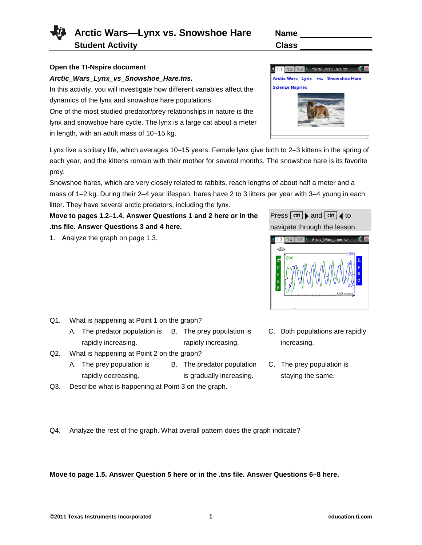**Student Activity Class** 

## **Open the TI-Nspire document**

## *Arctic\_Wars\_Lynx\_vs\_Snowshoe\_Hare.tns.*

In this activity, you will investigate how different variables affect the dynamics of the lynx and snowshoe hare populations.

One of the most studied predator/prey relationships in nature is the lynx and snowshoe hare cycle. The lynx is a large cat about a meter in length, with an adult mass of 10–15 kg.

Lynx live a solitary life, which averages 10–15 years. Female lynx give birth to 2–3 kittens in the spring of each year, and the kittens remain with their mother for several months. The snowshoe hare is its favorite prey.

Snowshoe hares, which are very closely related to rabbits, reach lengths of about half a meter and a mass of 1–2 kg. During their 2–4 year lifespan, hares have 2 to 3 litters per year with 3–4 young in each litter. They have several arctic predators, including the lynx.

**Move to pages 1.2–1.4. Answer Questions 1 and 2 here or in the .tns file. Answer Questions 3 and 4 here.**

1. Analyze the graph on page 1.3.

- Q1. What is happening at Point 1 on the graph?
	- A. The predator population is B. The prey population is rapidly increasing. rapidly increasing.
- Q2. What is happening at Point 2 on the graph?
	- A. The prey population is rapidly decreasing. B. The predator population is gradually increasing.
- Q3. Describe what is happening at Point 3 on the graph.

Q4. Analyze the rest of the graph. What overall pattern does the graph indicate?

**Move to page 1.5. Answer Question 5 here or in the .tns file. Answer Questions 6–8 here.**





Press  $[\vec{c}$ <sup>trl</sup>  $]$  and  $[\vec{c}$ <sup>trl</sup>  $]$  to navigate through the lesson.

- C. Both populations are rapidly increasing.
- C. The prey population is staying the same.